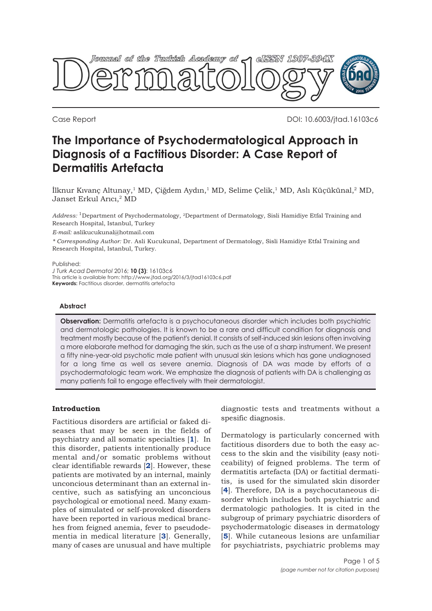

Case Report DOI: 10.6003/jtad.16103c6

# **The Importance of Psychodermatological Approach in Diagnosis of a Factitious Disorder: A Case Report of Dermatitis Artefacta**

İlknur Kıvanç Altunay,1 MD, Çiğdem Aydın,1 MD, Selime Çelik,1 MD, Aslı Küçükünal,2 MD, Janset Erkul Arıcı,<sup>2</sup> MD

*Address:* 1Department of Psychodermatology, 2Department of Dermatology, Sisli Hamidiye Etfal Training and Research Hospital, Istanbul, Turkey

*E-mail:* aslikucukunal@hotmail.com

*\* Corresponding Author:* Dr. Asli Kucukunal, Department of Dermatology, Sisli Hamidiye Etfal Training and Research Hospital, Istanbul, Turkey.

#### Published:

*J Turk Acad Dermatol* 2016; **10 (3)**: 16103c6 This article is available from: http://www.jtad.org/2016/3/jtad16103c6.pdf **Keywords:** Factitious disorder, dermatitis artefacta

# **Abstract**

**Observation:** Dermatitis artefacta is a psychocutaneous disorder which includes both psychiatric and dermatologic pathologies. It is known to be a rare and difficult condition for diagnosis and treatment mostly because of the patient's denial. It consists of self-induced skin lesions often involving a more elaborate method for damaging the skin, such as the use of a sharp instrument. We present a fifty nine-year-old psychotic male patient with unusual skin lesions which has gone undiagnosed for a long time as well as severe anemia. Diagnosis of DA was made by efforts of a psychodermatologic team work. We emphasize the diagnosis of patients with DA is challenging as many patients fail to engage effectively with their dermatologist.

### **Introduction**

Factitious disorders are artificial or faked diseases that may be seen in the fields of psychiatry and all somatic specialties [**[1](#page-4-0)**]. In this disorder, patients intentionally produce mental and/or somatic problems without clear identifiable rewards [**[2](#page-4-0)**]. However, these patients are motivated by an internal, mainly unconcious determinant than an external incentive, such as satisfying an unconcious psychological or emotional need. Many examples of simulated or self-provoked disorders have been reported in various medical branches from feigned anemia, fever to pseudodementia in medical literature [**[3](#page-4-0)**]. Generally, many of cases are unusual and have multiple

diagnostic tests and treatments without a spesific diagnosis.

Dermatology is particularly concerned with factitious disorders due to both the easy access to the skin and the visibility (easy noticeability) of feigned problems. The term of dermatitis artefacta (DA) or factitial dermatitis, is used for the simulated skin disorder [**[4](#page-4-0)**]. Therefore, DA is a psychocutaneous disorder which includes both psychiatric and dermatologic pathologies. It is cited in the subgroup of primary psychiatric disorders of psychodermatologic diseases in dermatology [**[5](#page-4-0)**]. While cutaneous lesions are unfamiliar for psychiatrists, psychiatric problems may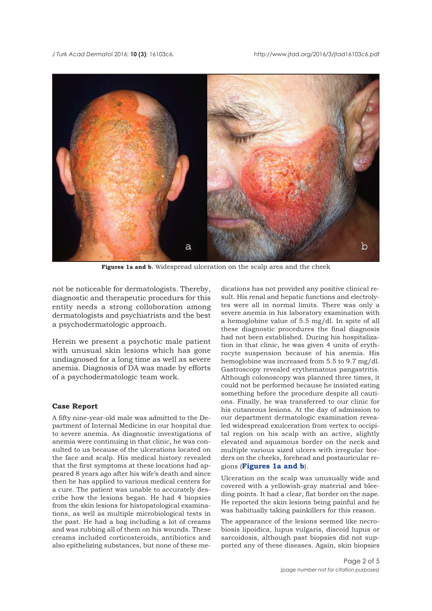

**Figures 1a and b.** Widespread ulceration on the scalp area and the cheek

not be noticeable for dermatologists. Thereby, diagnostic and therapeutic procedurs for this entity needs a strong colloboration among dermatologists and psychiatrists and the best a psychodermatologic approach.

Herein we present a psychotic male patient with unusual skin lesions which has gone undiagnosed for a long time as well as severe anemia. Diagnosis of DA was made by efforts of a psychodermatologic team work.

## **Case Report**

A fifty nine-year-old male was admitted to the Department of Internal Medicine in our hospital due to severe anemia. As diagnostic investigations of anemia were continuing in that clinic, he was consulted to us because of the ulcerations located on the face and scalp. His medical history revealed that the first symptoms at these locations had appeared 8 years ago after his wife's death and since then he has applied to various medical centers for a cure. The patient was unable to accurately describe how the lesions began. He had 4 biopsies from the skin lesions for histopatological examinations, as well as multiple microbiological tests in the past. He had a bag including a lot of creams and was rubbing all of them on his wounds. These creams included corticosteroids, antibiotics and also epithelizing substances, but none of these me-

dications has not provided any positive clinical result. His renal and hepatic functions and electrolytes were all in normal limits. There was only a severe anemia in his laboratory examination with a hemoglobine value of 5.5 mg/dl. In spite of all these diagnostic procedures the final diagnosis had not been established. During his hospitalization in that clinic, he was given 4 units of erythrocyte suspension because of his anemia. His hemoglobine was increased from 5.5 to 9.7 mg/dl. Gastroscopy revealed erythematous pangastritis. Although colonoscopy was planned three times, it could not be performed because he insisted eating something before the procedure despite all cautions. Finally, he was transferred to our clinic for his cutaneous lesions. At the day of admission to our department dermatologic examination revealed widespread exulceration from vertex to occipital region on his scalp with an active, slightly elevated and squamous border on the neck and multiple various sized ulcers with irregular borders on the cheeks, forehead and postauricular regions (**Figures 1a and b**).

Ulceration on the scalp was unusually wide and covered with a yellowish-gray material and bleeding points. It had a clear, flat border on the nape. He reported the skin lesions being painful and he was habitually taking painkillers for this reason.

The appearance of the lesions seemed like necrobiosis lipoidica, lupus vulgaris, discoid lupus or sarcoidosis, although past biopsies did not supported any of these diseases. Again, skin biopsies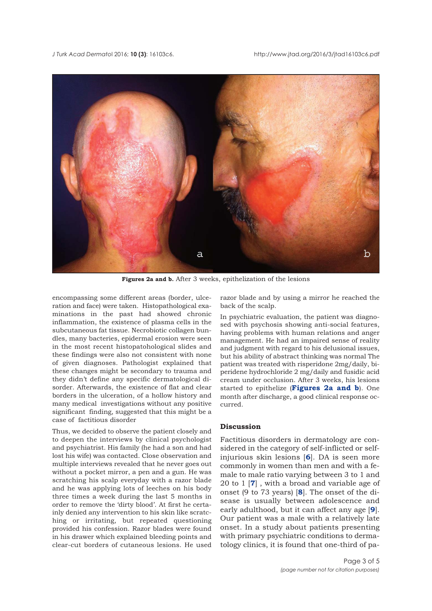

**Figures 2a and b.** After 3 weeks, epithelization of the lesions

encompassing some different areas (border, ulceration and face) were taken. Histopathological examinations in the past had showed chronic inflammation, the existence of plasma cells in the subcutaneous fat tissue. Necrobiotic collagen bundles, many bacteries, epidermal erosion were seen in the most recent histopatohological slides and these findings were also not consistent with none of given diagnoses. Pathologist explained that these changes might be secondary to trauma and they didn't define any specific dermatological disorder. Afterwards, the existence of flat and clear borders in the ulceration, of a hollow history and many medical investigations without any positive significant finding, suggested that this might be a case of factitious disorder

Thus, we decided to observe the patient closely and to deepen the interviews by clinical psychologist and psychiatrist. His family (he had a son and had lost his wife) was contacted. Close observation and multiple interviews revealed that he never goes out without a pocket mirror, a pen and a gun. He was scratching his scalp everyday with a razor blade and he was applying lots of leeches on his body three times a week during the last 5 months in order to remove the 'dirty blood'. At first he certainly denied any intervention to his skin like scratching or irritating, but repeated questioning provided his confession. Razor blades were found in his drawer which explained bleeding points and clear-cut borders of cutaneous lesions. He used razor blade and by using a mirror he reached the back of the scalp.

In psychiatric evaluation, the patient was diagnosed with psychosis showing anti-social features, having problems with human relations and anger management. He had an impaired sense of reality and judgment with regard to his delusional issues, but his ability of abstract thinking was normal The patient was treated with risperidone 2mg/daily, biperidene hydrochloride 2 mg/daily and fusidic acid cream under occlusion. After 3 weeks, his lesions started to epithelize (**Figures 2a and b**). One month after discharge, a good clinical response occurred.

# **Discussion**

Factitious disorders in dermatology are considered in the category of self-inflicted or selfinjurious skin lesions [**[6](#page-4-0)**]. DA is seen more commonly in women than men and with a female to male ratio varying between 3 to 1 and 20 to 1 [**[7](#page-4-0)**] , with a broad and variable age of onset (9 to 73 years) [**[8](#page-4-0)**]. The onset of the disease is usually between adolescence and early adulthood, but it can affect any age [**[9](#page-4-0)**]. Our patient was a male with a relatively late onset. In a study about patients presenting with primary psychiatric conditions to dermatology clinics, it is found that one-third of pa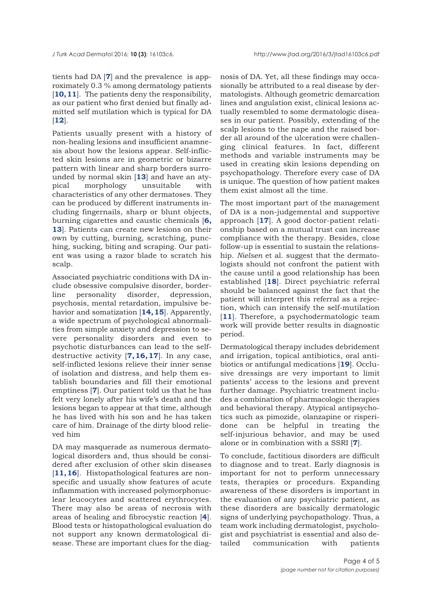tients had DA [**[7](#page-4-0)**] and the prevalence is approximately 0.3 % among dermatology patients [[10, 11](#page-4-0)]. The patients deny the responsibility, as our patient who first denied but finally admitted self mutilation which is typical for DA [**[12](#page-4-0)**].

Patients usually present with a history of non-healing lesions and insufficient anamnesis about how the lesions appear. Self-inflicted skin lesions are in geometric or bizarre pattern with linear and sharp borders surrounded by normal skin [**[13](#page-4-0)**] and have an atypical morphology unsuitable with characteristics of any other dermatoses. They can be produced by different instruments including fingernails, sharp or blunt objects, burning cigarettes and caustic chemicals [**[6,](#page-4-0) [13](#page-4-0)**]. Patients can create new lesions on their own by cutting, burning, scratching, punching, sucking, biting and scraping. Our patient was using a razor blade to scratch his scalp.

Associated psychiatric conditions with DA include obsessive compulsive disorder, borderline personality disorder, depression, psychosis, mental retardation, impulsive behavior and somatization [**[14, 15](#page-4-0)**]. Apparently, a wide spectrum of psychological abnormalities from simple anxiety and depression to severe personality disorders and even to psychotic disturbances can lead to the selfdestructive activity [**[7, 16, 17](#page-4-0)**]. In any case, self-inflicted lesions relieve their inner sense of isolation and distress, and help them establish boundaries and fill their emotional emptiness [**[7](#page-4-0)**]. Our patient told us that he has felt very lonely after his wife's death and the lesions began to appear at that time, although he has lived with his son and he has taken care of him. Drainage of the dirty blood relieved him

DA may masquerade as numerous dermatological disorders and, thus should be considered after exclusion of other skin diseases [[11, 16](#page-4-0)]. Histopathological features are nonspecific and usually show features of acute inflammation with increased polymorphonuclear leucocytes and scattered erythrocytes. There may also be areas of necrosis with areas of healing and fibrocystic reaction [**[4](#page-4-0)**]. Blood tests or histopathological evaluation do not support any known dermatological disease. These are important clues for the diagnosis of DA. Yet, all these findings may occasionally be attributed to a real disease by dermatologists. Although geometric demarcation lines and angulation exist, clinical lesions actually resembled to some dermatologic diseases in our patient. Possibly, extending of the scalp lesions to the nape and the raised border all around of the ulceration were challenging clinical features. In fact, different methods and variable instruments may be used in creating skin lesions depending on psychopathology. Therefore every case of DA is unique. The question of how patient makes them exist almost all the time.

The most important part of the management of DA is a non-judgemental and supportive approach [**[17](#page-4-0)**]. A good doctor-patient relationship based on a mutual trust can increase compliance with the therapy. Besides, close follow-up is essential to sustain the relationship. *Nielsen* et al. suggest that the dermatologists should not confront the patient with the cause until a good relationship has been established [**[18](#page-4-0)**]. Direct psychiatric referral should be balanced against the fact that the patient will interpret this referral as a rejection, which can intensify the self-mutilation [[11](#page-4-0)]. Therefore, a psychodermatologic team work will provide better results in diagnostic period.

Dermatological therapy includes debridement and irrigation, topical antibiotics, oral antibiotics or antifungal medications [**[19](#page-4-0)**]. Occlusive dressings are very important to limit patients' access to the lesions and prevent further damage. Psychiatric treatment includes a combination of pharmacologic therapies and behavioral therapy. Atypical antipsychotics such as pimozide, olanzapine or risperidone can be helpful in treating the self-injurious behavior, and may be used alone or in combination with a SSRI [**[7](#page-4-0)**].

To conclude, factitious disorders are difficult to diagnose and to treat. Early diagnosis is important for not to perform unnecessary tests, therapies or procedurs. Expanding awareness of these disorders is important in the evaluation of any psychiatric patient, as these disorders are basically dermatologic signs of underlying psychopathology. Thus, a team work including dermatologist, psychologist and psychiatrist is essential and also detailed communication with patients